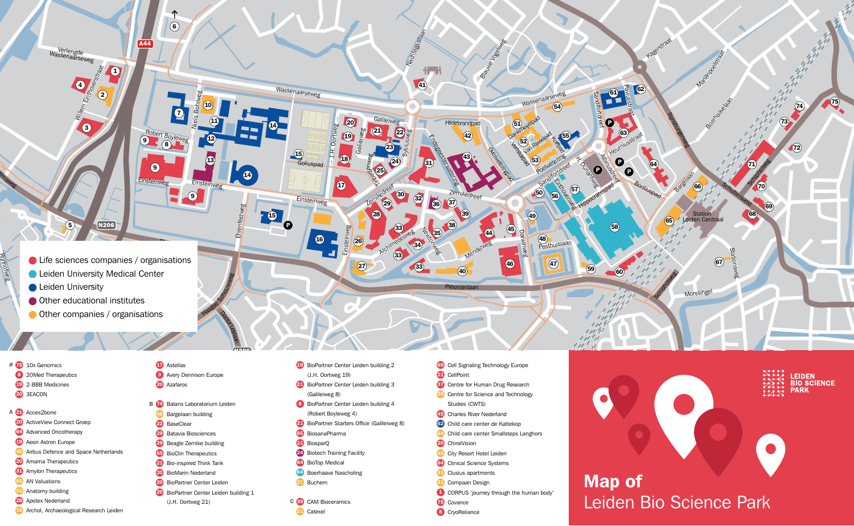

- # 75 10x Genomics
- 8 20Med Therapeutics
- 19 2-BBB Medicines
- 20 3EACON
- A 21 Acces2bone 20 ActiveView Connect Groep 64 Advanced Oncotherapy
- 19 Aeon Astron Europe
- 40 Airbus Defence and Space Netherlands
- 20 Amarna Therapeutics
- **31** Amylon Therapeutics
- 65 AN Valuations
- 52 Anatomy building
- 28 Apotex Nederland
- 16 Archol, Archaeological Research Leiden
- **17** Astellas **3** Avery Dennison Europe 20 Azafaros
- **B 74** Balans Laboratorium Leiden 66 Bargelaan building 22 BaseClear 29 Batavia Biosciences 29 Beagle Zernike building **65** BioClin Therapeutics 21 Bio-inspired Think Tank 20 BioMarin Nederland 20 BioPartner Center Leiden

(J.H. Oortweg 21)

20 BioPartner Center Leiden building 1

- 19 BioPartner Center Leiden building 2 (J.H. Oortweg 19)
- 21 BioPartner Center Leiden building 3
- (Galileiweg 8) 8 BioPartner Center Leiden building 4
- (Robert Boyleweg 4)
- 21 BioPartner Starters Office (Galileiweg 8)
- 65 BiosanaPharma
- 21 BiosparQ
- 24 Biotech Training Facility
- 64 BioTop Medical
- 64 Boerhaave Nascholing
- 21 Buchem

C 89 CAM Bioceramics 21 Catexel

- 69 Cell Signaling Technology Europe
- 21 CellPoint
- **37** Centre for Human Drug Research
- 55 Centre for Science and Technology Studies (CWTS)
- 45 Charles River Nederland
- 62 Child care center de Kattekop
- 64 Child care center Smallsteps Langhors
- 20 ChiralVision
- 65 City Resort Hotel Leiden
- 64 Clinical Science Systems
- **51** Clusius apartments
- 21 Compaan Design
- 1 CORPUS 'journey through the human body' 75 Covance
- 8 CryoReliance



**LEIDEN BIO SCIENCE** 

**PARK**